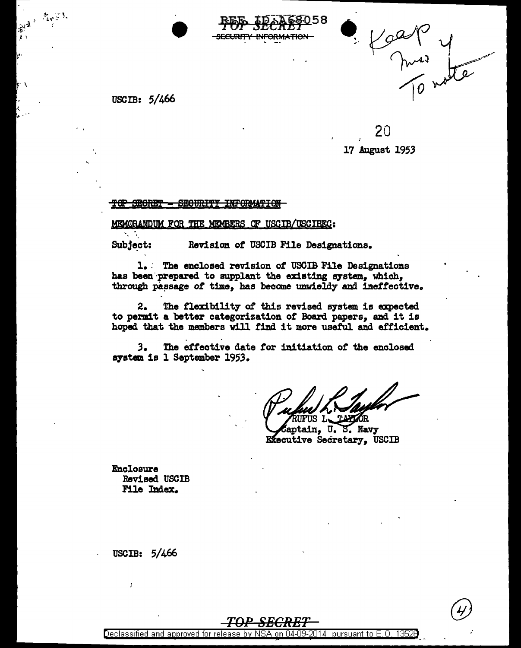

au<br>mai y

USCIB: 5/466

20 17 August 1953

TOP SECRET - SECURITY INFORMATION

MEMORANDUM FOR THE MEMBERS OF USCIB/USCIBEC:

Subject: Revision of USCIB File Designations.

1. The enclosed revision of USCIB File Designations has been prepared to supplant the existing system, which, through passage of time, has become unwieldy and ineffective.

The flexibility of this revised system is expected 2. to permit a better categorization of Board papers, and it is hoped that the members will find it more useful and efficient.

 $3.$ The effective date for initiation of the enclosed system is 1 September 1953.

קר US

13528

aptain, U. S. Navy Executive Secretary, USCIB

**Enclosure** Revised USCIB File Index.

USCIB: 5/466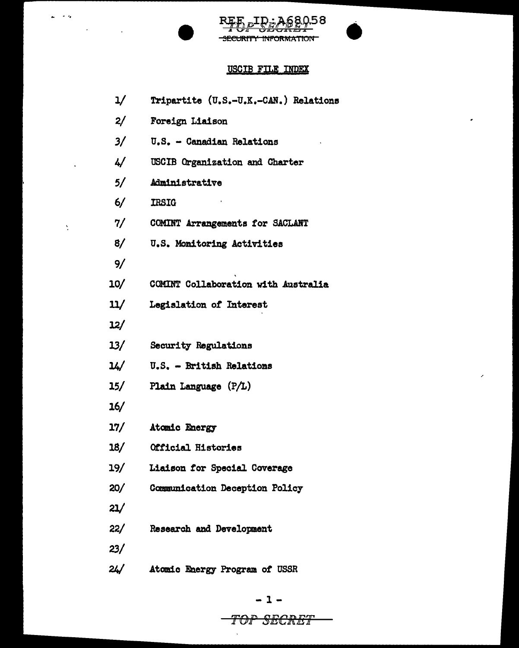

 $\omega_{\rm c} \rightarrow \infty$  .

 $\mathcal{A}^{\pm}$ 

 $\Delta$ 

 $\label{eq:2.1} \mathcal{L}(\mathcal{L}^{\text{max}}_{\mathcal{L}}(\mathcal{L}^{\text{max}}_{\mathcal{L}}),\mathcal{L}^{\text{max}}_{\mathcal{L}^{\text{max}}_{\mathcal{L}}})$ 



 $\hat{\mathbf{r}}$ 

 $\hat{\boldsymbol{\epsilon}}$ 

## USCIB FILE INDEX

| 1/  | Tripartite (U.S.-U.K.-CAN.) Relations |
|-----|---------------------------------------|
| 2/  | Foreign Liaison                       |
| 3/  | U.S. - Canadian Relations             |
| 4/  | USCIB Organization and Charter        |
| 5/  | Administrative                        |
| 6/  | <b>IRSIG</b>                          |
| 7/  | COMINT Arrangements for SACLANT       |
| 8/  | U.S. Monitoring Activities            |
| 9/  |                                       |
| 10/ | COMINT Collaboration with Australia   |
| 11/ | Legislation of Interest               |
| 12/ |                                       |
| 13/ | Security Regulations                  |
| 14/ | U.S. - British Relations              |
| 15/ | Plain Language (P/L)                  |
| 16/ |                                       |
| 17/ | Atomic Energy                         |
| 18/ | Official Histories                    |
| 19/ | Liaison for Special Coverage          |
| 20/ | Communication Deception Policy        |
| 21/ |                                       |
| 22/ | <b>Research and Development</b>       |
| 23/ |                                       |
| 24/ | Atomic Energy Program of USSR         |

 $\hat{\mathbf{v}}$ 

## TOP SECRET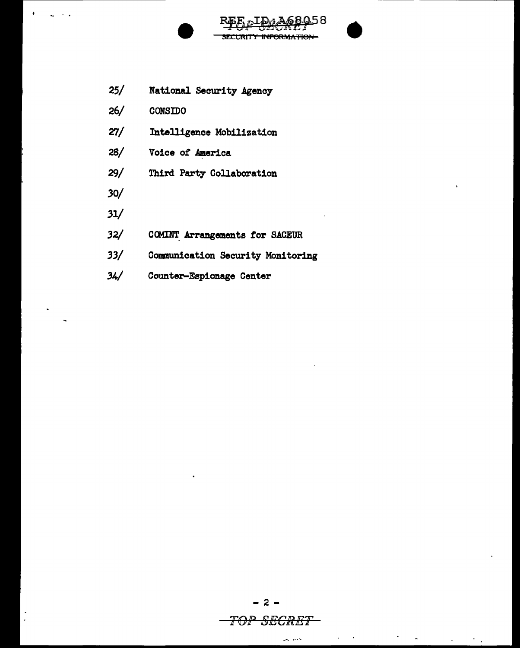

SECURITY INFORMATION

- $26/$ CONSIDO
- $27/$ Intelligence Mobilization
- $28/$ Voice of America
- $29/$ Third Party Collaboration
- $30/$
- $31/$
- $32/$ COMINT Arrangements for SACEUR
- $33/$ Communication Security Monitoring
- $34/$ Counter-Espionage Center

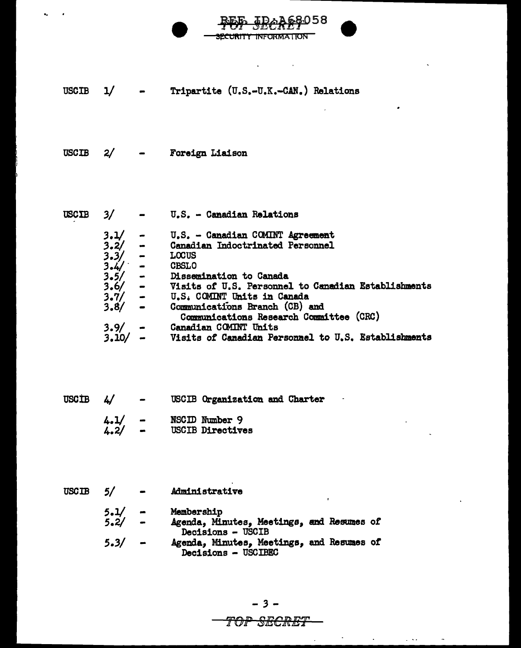

USCIB 1/ Tripartite (u.s.-u.K.-CAN.) Relations

USCIB 2/ Foreign Liaison

USCIB *3/ 3.V 3.2/ 3.3/ 3.41\_-* - *3.5/*  3.6/ 3.7/ 3.8/  $3.9/$ <br> $3.10/$ u.s. - Canadian Relations U.S. - Canadian COMINT Agreement Canadian Indoctrinated Personnel LOCUS **CBSLO** Dissemination to Canada Visits *ot* U.S. Personnel to Canadian Establishments u.s. COMINT Units in Canada Commurdcatfons Branch (CB) and Commmications Research Committee (CRC) Canadian CCMINT Units

Visits of Canadian Personnel to U.S. Establishments

USCIB  $4/$ USCIB Organization and Charter  $4.1/ -$  NSCID Number 9<br> $4.2/ -$  USCIB Directive

USCIB Directives

USCIB 5/ Administrative

> 5.1/ 5.2/ *S.3/*  Membership Agenda, Minutes, Meetings, and Resumes *ot*  Decisions - USCIB Agenda, Minute81 Meetings, and Resumes *ot*  Decisions - USCIBEC

## *TOP S-ECR-ET*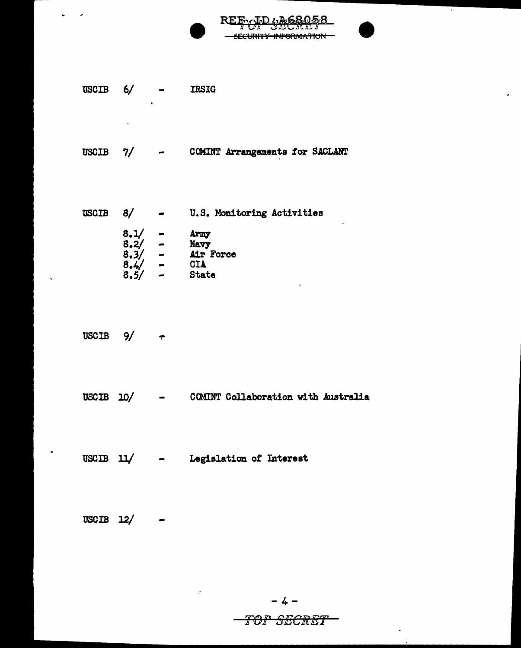SECURITY INFORMATION **IRSIG**  $6/$ 

**REE** 

.೧.೯.৪

 $\cdot$  .

 $\lambda$ 

- $7/$ COMINT Arrangements for SACLANT **USCIB**  $\bullet$
- $8/$ U.S. Monitoring Activities **USCIB**  $\bullet$  . The set of  $\bullet$  $8.1/$ <br> $8.2/$ <br> $8.3/$ <br> $8.4/$ <br> $8.5/$  $\overline{\phantom{0}}$ Army  $\frac{1}{1}$ Navy Air Force CIA  $\overline{a}$ State
- **USCIB**  $9/$  $\ddot{\phantom{0}}$

**USCIB** 

 $\ddot{\phantom{a}}$ 

- $USCIB$  10/ COMINT Collaboration with Australia
- USCIB  $11/$ Legislation of Interest  $\blacksquare$

USCIB 12/

$$
-4-
$$

## TOP SECRET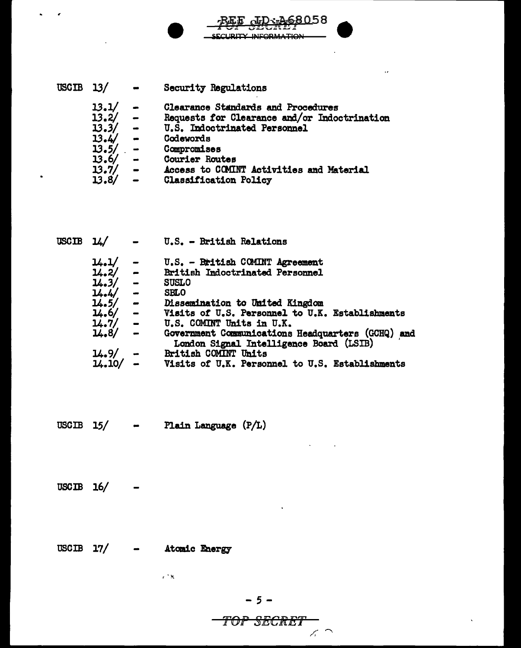| USCIB $13/$ |       |                          | <b>Security Regulations</b>                  |
|-------------|-------|--------------------------|----------------------------------------------|
|             | 13.1/ |                          | Clearance Standards and Procedures           |
|             | 13.2/ | $\blacksquare$           | Requests for Clearance and/or Indoctrination |
|             | 13.3/ | $\overline{\phantom{a}}$ | U.S. Indoctrinated Personnel                 |
|             | 13.4/ | $\blacksquare$           | Codewords                                    |
|             | 13.5/ | $\sim$                   | Compromises                                  |
|             | 13.6/ | $\blacksquare$           | Courier Routes                               |
|             | 13.7/ | $\blacksquare$           | Access to COMINT Activities and Material     |
|             | 13.8/ |                          | <b>Classification Policy</b>                 |

 $L_{D}$ :  $A68058$ 

 $\bar{\nu}$ 

**SECURITY INFORMATION** 

| <b>USCIB</b> | - 14/                                        |           | U.S. - British Relations                          |
|--------------|----------------------------------------------|-----------|---------------------------------------------------|
|              | 14.1/                                        | -         | U.S. - British COMINT Agreement                   |
|              |                                              |           | <b>British Indoctrinated Personnel</b>            |
|              | $\frac{1}{4}$ , 2/ -<br>$\frac{1}{4}$ , 3/ - |           | <b>SUSLO</b>                                      |
|              | $14.4/ -$                                    |           | <b>SBLO</b>                                       |
|              | $14.5/ -$                                    |           | Dissemination to United Kingdom                   |
|              | $14.6/ -$                                    |           | Visits of U.S. Personnel to U.K. Establishments   |
|              |                                              |           | U.S. COMINT Units in U.K.                         |
|              | $4.9$<br>$14.7/$ -<br>14.8/                  |           | Government Communications Headquarters (GCHQ) and |
|              |                                              |           | London Signal Intelligence Board (LSIB)           |
|              | 14.9/                                        | $\bullet$ | British COMINT Units                              |
|              | $14.10/ -$                                   |           | Visits of U.K. Personnel to U.S. Establishments   |

- Plain Language  $(P/L)$ USCIB  $15/$ 

 $USCIB$  16/

USCIB 17/ - Atomic Energy

 $\sim 1$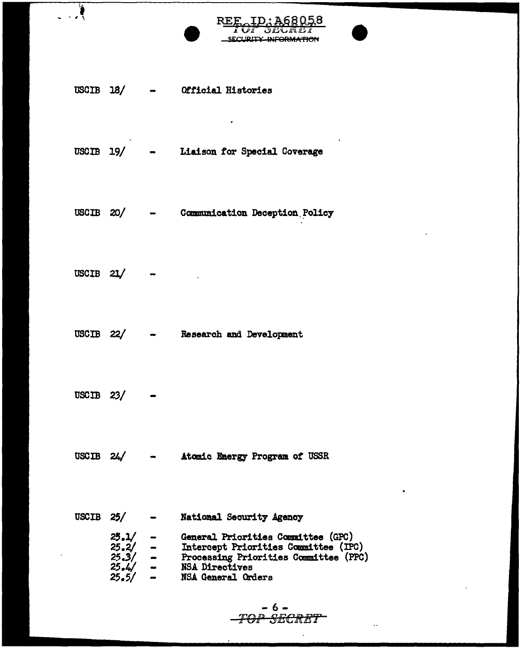|       |                 | SECURITY-INFORMATION                                                                                                                                                                                |
|-------|-----------------|-----------------------------------------------------------------------------------------------------------------------------------------------------------------------------------------------------|
|       |                 |                                                                                                                                                                                                     |
|       |                 |                                                                                                                                                                                                     |
|       | USCIB $18/$ -   | Official Histories                                                                                                                                                                                  |
|       |                 |                                                                                                                                                                                                     |
|       |                 |                                                                                                                                                                                                     |
|       |                 |                                                                                                                                                                                                     |
|       |                 | USCIB 19/ - Liaison for Special Coverage                                                                                                                                                            |
|       |                 |                                                                                                                                                                                                     |
|       |                 |                                                                                                                                                                                                     |
|       |                 |                                                                                                                                                                                                     |
|       | USCIB $20/$ -   | <b>Communication Deception Policy</b>                                                                                                                                                               |
|       |                 |                                                                                                                                                                                                     |
|       |                 |                                                                                                                                                                                                     |
|       |                 |                                                                                                                                                                                                     |
| USCIB | 21/             |                                                                                                                                                                                                     |
|       |                 |                                                                                                                                                                                                     |
|       |                 |                                                                                                                                                                                                     |
|       |                 |                                                                                                                                                                                                     |
|       |                 | USCIB 22/ - Research and Development                                                                                                                                                                |
|       |                 |                                                                                                                                                                                                     |
|       |                 |                                                                                                                                                                                                     |
|       |                 |                                                                                                                                                                                                     |
|       | $USCIB$ 23/ $-$ |                                                                                                                                                                                                     |
|       |                 |                                                                                                                                                                                                     |
|       |                 |                                                                                                                                                                                                     |
|       |                 |                                                                                                                                                                                                     |
|       |                 | USCIB 24/ - Atomic Energy Program of USSR                                                                                                                                                           |
|       |                 |                                                                                                                                                                                                     |
|       |                 | $\mathbf{G}$                                                                                                                                                                                        |
|       |                 |                                                                                                                                                                                                     |
|       | USCIB $25/$ $-$ | National Security Agency                                                                                                                                                                            |
|       |                 | 25.1/ - General Priorities Committee (GPC)<br>25.2/ - Intercept Priorities Committee (IPC)<br>25.3/ - Processing Priorities Committee (PPC)<br>25.4/ - NSA Directives<br>25.5/ - NSA General Orders |
|       |                 |                                                                                                                                                                                                     |
|       |                 |                                                                                                                                                                                                     |
|       |                 |                                                                                                                                                                                                     |

l,

 $-6 -$ <br>-TOP SECRET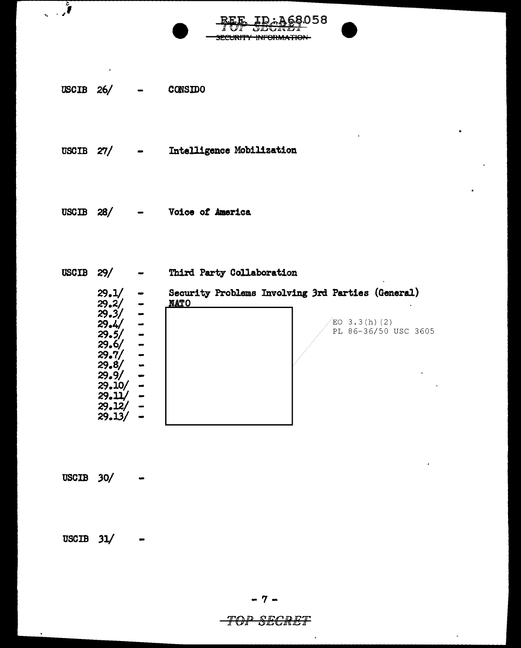

USCIB  $26/$ **CONSIDO** 

 $\int$ 

Intelligence Mobilization USCIB  $27/$ 

 $USCIB$  28/ Voice of America

USCIB  $29/$ Third Party Collaboration  $\bullet$  $29.1/$ <br> $29.2/$ Security Problems Involving 3rd Parties (General)  $\bullet$ **NATO**  $\bullet$  $29.3/$  $\frac{1}{2}$  $29.4/$  $EO$  3.3(h)(2) PL 86-36/50 USC 3605  $29.5/$  $29.6/$  $29.7/$  $29.8/$  $29.9/$ <br> $29.10/$  $\bullet$ - $29.11/$  $\overline{\phantom{a}}$  $29.12/$  $29.13/$ 

68058

SECURITY INFORMATION-

 $USCIB$  30/

USCIB  $31/$